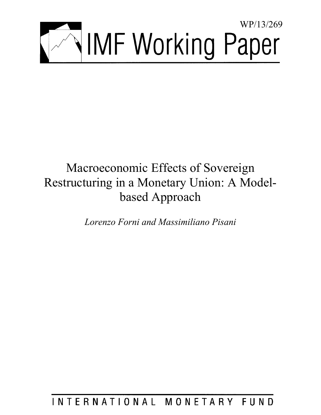

# Macroeconomic Effects of Sovereign Restructuring in a Monetary Union: A Modelbased Approach

*Lorenzo Forni and Massimiliano Pisani* 

INTERNATIONAL MONETARY FUND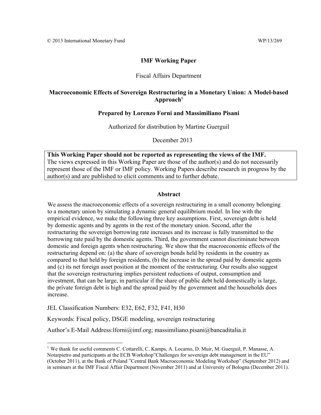# **IMF Working Paper**

# Fiscal Affairs Department

# **Macroeconomic Effects of Sovereign Restructuring in a Monetary Union: A Model-based**   ${\bf Appendix}$

## **Prepared by Lorenzo Forni and Massimiliano Pisani**

Authorized for distribution by Martine Guerguil

December 2013

**This Working Paper should not be reported as representing the views of the IMF.**  The views expressed in this Working Paper are those of the author(s) and do not necessarily represent those of the IMF or IMF policy. Working Papers describe research in progress by the author(s) and are published to elicit comments and to further debate.

## **Abstract**

We assess the macroeconomic effects of a sovereign restructuring in a small economy belonging to a monetary union by simulating a dynamic general equilibrium model. In line with the empirical evidence, we make the following three key assumptions. First, sovereign debt is held by domestic agents and by agents in the rest of the monetary union. Second, after the restructuring the sovereign borrowing rate increases and its increase is fully transmitted to the borrowing rate paid by the domestic agents. Third, the government cannot discriminate between domestic and foreign agents when restructuring. We show that the macroeconomic effects of the restructuring depend on: (a) the share of sovereign bonds held by residents in the country as compared to that held by foreign residents, (b) the increase in the spread paid by domestic agents and (c) its net foreign asset position at the moment of the restructuring. Our results also suggest that the sovereign restructuring implies persistent reductions of output, consumption and investment, that can be large, in particular if the share of public debt held domestically is large, the private foreign debt is high and the spread paid by the government and the households does increase.

JEL Classification Numbers: E32, E62, F32, F41, H30

Keywords: Fiscal policy, DSGE modeling, sovereign restructuring

Author's E-Mail Address: lforni@imf.org; massimiliano.pisani@bancaditalia.it

<sup>&</sup>lt;sup>1</sup> We thank for useful comments C. Cottarelli, C. Kamps, A. Locarno, D. Muir, M. Guerguil, P. Manasse, A. Notarpietro and participants at the ECB Workshop"Challenges for sovereign debt management in the EU" (October 2011), at the Bank of Poland "Central Bank Macroeconomic Modeling Workshop" (September 2012) and in seminars at the IMF Fiscal Affair Department (November 2011) and at University of Bologna (December 2011).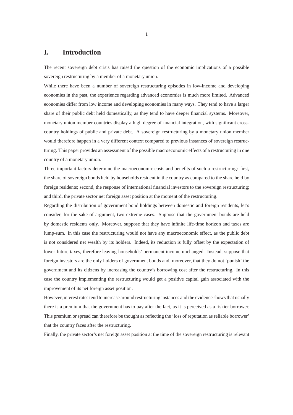# **I. Introduction**

The recent sovereign debt crisis has raised the question of the economic implications of a possible sovereign restructuring by a member of a monetary union.

While there have been a number of sovereign restructuring episodes in low-income and developing economies in the past, the experience regarding advanced economies is much more limited. Advanced economies differ from low income and developing economies in many ways. They tend to have a larger share of their public debt held domestically, as they tend to have deeper financial systems. Moreover, monetary union member countries display a high degree of financial integration, with significant crosscountry holdings of public and private debt. A sovereign restructuring by a monetary union member would therefore happen in a very different context compared to previous instances of sovereign restructuring. This paper provides an assessment of the possible macroeconomic effects of a restructuring in one country of a monetary union.

Three important factors determine the macroeconomic costs and benefits of such a restructuring: first, the share of sovereign bonds held by households resident in the country as compared to the share held by foreign residents; second, the response of international financial investors to the sovereign restructuring; and third, the private sector net foreign asset position at the moment of the restructuring.

Regarding the distribution of government bond holdings between domestic and foreign residents, let's consider, for the sake of argument, two extreme cases. Suppose that the government bonds are held by domestic residents only. Moreover, suppose that they have infinite life-time horizon and taxes are lump-sum. In this case the restructuring would not have any macroeconomic effect, as the public debt is not considered net wealth by its holders. Indeed, its reduction is fully offset by the expectation of lower future taxes, therefore leaving households' permanent income unchanged. Instead, suppose that foreign investors are the only holders of government bonds and, moreover, that they do not 'punish' the government and its citizens by increasing the country's borrowing cost after the restructuring. In this case the country implementing the restructuring would get a positive capital gain associated with the improvement of its net foreign asset position.

However, interest rates tend to increase around restructuring instances and the evidence shows that usually there is a premium that the government has to pay after the fact, as it is perceived as a riskier borrower. This premium or spread can therefore be thought as reflecting the 'loss of reputation as reliable borrower' that the country faces after the restructuring.

Finally, the private sector's net foreign asset position at the time of the sovereign restructuring is relevant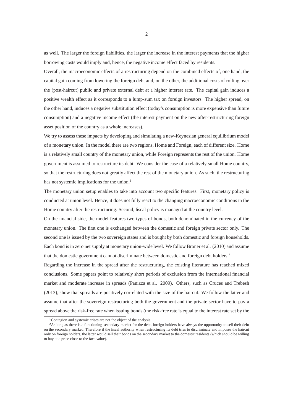as well. The larger the foreign liabilities, the larger the increase in the interest payments that the higher borrowing costs would imply and, hence, the negative income effect faced by residents.

Overall, the macroeconomic effects of a restructuring depend on the combined effects of, one hand, the capital gain coming from lowering the foreign debt and, on the other, the additional costs of rolling over the (post-haircut) public and private external debt at a higher interest rate. The capital gain induces a positive wealth effect as it corresponds to a lump-sum tax on foreign investors. The higher spread, on the other hand, induces a negative substitution effect (today's consumption is more expensive than future consumption) and a negative income effect (the interest payment on the new after-restructuring foreign asset position of the country as a whole increases).

We try to assess these impacts by developing and simulating a new-Keynesian general equilibrium model of a monetary union. In the model there are two regions, Home and Foreign, each of different size. Home is a relatively small country of the monetary union, while Foreign represents the rest of the union. Home government is assumed to restructure its debt. We consider the case of a relatively small Home country, so that the restructuring does not greatly affect the rest of the monetary union. As such, the restructuring has not systemic implications for the union.<sup>1</sup>

The monetary union setup enables to take into account two specific features. First, monetary policy is conducted at union level. Hence, it does not fully react to the changing macroeconomic conditions in the Home country after the restructuring. Second, fiscal policy is managed at the country level.

On the financial side, the model features two types of bonds, both denominated in the currency of the monetary union. The first one is exchanged between the domestic and foreign private sector only. The second one is issued by the two sovereign states and is bought by both domestic and foreign households. Each bond is in zero net supply at monetary union-wide level. We follow Broner et al. (2010) and assume that the domestic government cannot discriminate between domestic and foreign debt holders.<sup>2</sup>

Regarding the increase in the spread after the restructuring, the existing literature has reached mixed conclusions. Some papers point to relatively short periods of exclusion from the international financial market and moderate increase in spreads (Panizza et al. 2009). Others, such as Cruces and Trebesh (2013), show that spreads are positively correlated with the size of the haircut. We follow the latter and assume that after the sovereign restructuring both the government and the private sector have to pay a spread above the risk-free rate when issuing bonds (the risk-free rate is equal to the interest rate set by the

<sup>&</sup>lt;sup>1</sup>Contagion and systemic crises are not the object of the analysis.

<sup>2</sup>As long as there is a functioning secondary market for the debt, foreign holders have always the opportunity to sell their debt on the secondary market. Therefore if the fiscal authority when restructuring its debt tries to discriminate and imposes the haircut only on foreign holders, the latter would sell their bonds on the secondary market to the domestic residents (which should be willing to buy at a price close to the face value).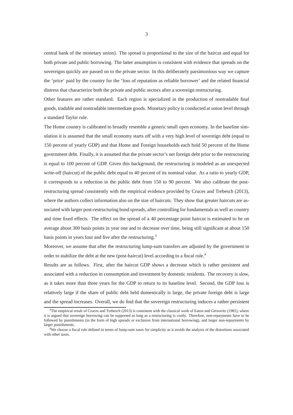central bank of the monetary union). The spread is proportional to the size of the haircut and equal for both private and public borrowing. The latter assumption is consistent with evidence that spreads on the sovereigns quickly are passed on to the private sector. In this deliberately parsimonious way we capture the 'price' paid by the country for the 'loss of reputation as reliable borrower' and the related financial distress that characterize both the private and public sectors after a sovereign restructuring.

Other features are rather standard. Each region is specialized in the production of nontradable final goods, tradable and nontradable intermediate goods. Monetary policy is conducted at union level through a standard Taylor rule.

The Home country is calibrated to broadly resemble a generic small open economy. In the baseline simulation it is assumed that the small economy starts off with a very high level of sovereign debt (equal to 150 percent of yearly GDP) and that Home and Foreign households each hold 50 percent of the Home government debt. Finally, it is assumed that the private sector's net foreign debt prior to the restructuring is equal to 100 percent of GDP. Given this background, the restructuring is modeled as an unexpected write-off (haircut) of the public debt equal to 40 percent of its nominal value. As a ratio to yearly GDP, it corresponds to a reduction in the public debt from 150 to 90 percent. We also calibrate the postrestructuring spread consistently with the empirical evidence provided by Cruces and Trebesch (2013), where the authors collect information also on the size of haircuts. They show that greater haircuts are associated with larger post-restructuring bond spreads, after controlling for fundamentals as well as country and time fixed effects. The effect on the spread of a 40 percentage point haircut is estimated to be on average about 300 basis points in year one and to decrease over time, being still significant at about 150 basis points in years four and five after the restructuring.<sup>3</sup>

Moreover, we assume that after the restructuring lump-sum transfers are adjusted by the government in order to stabilize the debt at the new (post-haircut) level according to a fiscal rule.<sup>4</sup>

Results are as follows. First, after the haircut GDP shows a decrease which is rather persistent and associated with a reduction in consumption and investment by domestic residents. The recovery is slow, as it takes more than three years for the GDP to return to its baseline level. Second, the GDP loss is relatively large if the share of public debt held domestically is large, the private foreign debt is large and the spread increases. Overall, we do find that the sovereign restructuring induces a rather persistent

<sup>&</sup>lt;sup>3</sup>The empirical result of Cruces and Trebesch (2013) is consistent with the classical work of Eaton and Gersovitz (1981), where it is argued that sovereign borrowing can be supported as long as a restructuring is costly. Therefore, non-repayments have to be followed by punishments (in the form of high spreads or exclusion from international borrowing), and larger non-repayments by larger punishments.

<sup>4</sup>We choose a fiscal rule defined in terms of lump-sum taxes for simplicity as it avoids the analysis of the distortions associated with other taxes.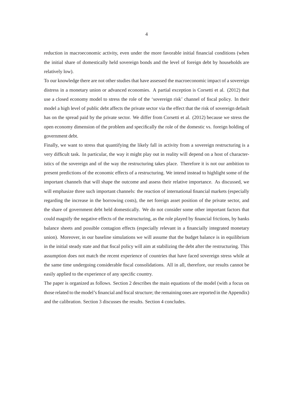reduction in macroeconomic activity, even under the more favorable initial financial conditions (when the initial share of domestically held sovereign bonds and the level of foreign debt by households are relatively low).

To our knowledge there are not other studies that have assessed the macroeconomic impact of a sovereign distress in a monetary union or advanced economies. A partial exception is Corsetti et al. (2012) that use a closed economy model to stress the role of the 'sovereign risk' channel of fiscal policy. In their model a high level of public debt affects the private sector via the effect that the risk of sovereign default has on the spread paid by the private sector. We differ from Corsetti et al. (2012) because we stress the open economy dimension of the problem and specifically the role of the domestic vs. foreign holding of government debt.

Finally, we want to stress that quantifying the likely fall in activity from a sovereign restructuring is a very difficult task. In particular, the way it might play out in reality will depend on a host of characteristics of the sovereign and of the way the restructuring takes place. Therefore it is not our ambition to present predictions of the economic effects of a restructuring. We intend instead to highlight some of the important channels that will shape the outcome and assess their relative importance. As discussed, we will emphasize three such important channels: the reaction of international financial markets (especially regarding the increase in the borrowing costs), the net foreign asset position of the private sector, and the share of government debt held domestically. We do not consider some other important factors that could magnify the negative effects of the restructuring, as the role played by financial frictions, by banks balance sheets and possible contagion effects (especially relevant in a financially integrated monetary union). Moreover, in our baseline simulations we will assume that the budget balance is in equilibrium in the initial steady state and that fiscal policy will aim at stabilizing the debt after the restructuring. This assumption does not match the recent experience of countries that have faced sovereign stress while at the same time undergoing considerable fiscal consolidations. All in all, therefore, our results cannot be easily applied to the experience of any specific country.

The paper is organized as follows. Section 2 describes the main equations of the model (with a focus on those related to the model's financial and fiscal structure; the remaining ones are reported in the Appendix) and the calibration. Section 3 discusses the results. Section 4 concludes.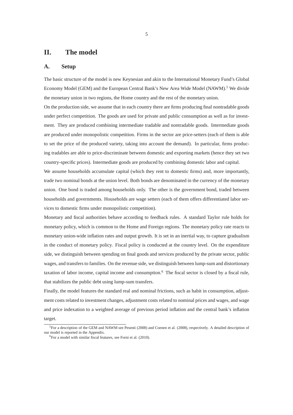# **II. The model**

#### **A. Setup**

The basic structure of the model is new Keynesian and akin to the International Monetary Fund's Global Economy Model (GEM) and the European Central Bank's New Area Wide Model (NAWM).<sup>5</sup> We divide the monetary union in two regions, the Home country and the rest of the monetary union.

On the production side, we assume that in each country there are firms producing final nontradable goods under perfect competition. The goods are used for private and public consumption as well as for investment. They are produced combining intermediate tradable and nontradable goods. Intermediate goods are produced under monopolistic competition. Firms in the sector are price-setters (each of them is able to set the price of the produced variety, taking into account the demand). In particular, firms producing tradables are able to price-discriminate between domestic and exporting markets (hence they set two country-specific prices). Intermediate goods are produced by combining domestic labor and capital.

We assume households accumulate capital (which they rent to domestic firms) and, more importantly, trade two nominal bonds at the union level. Both bonds are denominated in the currency of the monetary union. One bond is traded among households only. The other is the government bond, traded between households and governments. Households are wage setters (each of them offers differentiated labor services to domestic firms under monopolistic competition).

Monetary and fiscal authorities behave according to feedback rules. A standard Taylor rule holds for monetary policy, which is common to the Home and Foreign regions. The monetary policy rate reacts to monetary union-wide inflation rates and output growth. It is set in an inertial way, to capture gradualism in the conduct of monetary policy. Fiscal policy is conducted at the country level. On the expenditure side, we distinguish between spending on final goods and services produced by the private sector, public wages, and transfers to families. On the revenue side, we distinguish between lump-sum and distortionary taxation of labor income, capital income and consumption.<sup>6</sup> The fiscal sector is closed by a fiscal rule, that stabilizes the public debt using lump-sum transfers.

Finally, the model features the standard real and nominal frictions, such as habit in consumption, adjustment costs related to investment changes, adjustment costs related to nominal prices and wages, and wage and price indexation to a weighted average of previous period inflation and the central bank's inflation target.

<sup>&</sup>lt;sup>5</sup>For a description of the GEM and NAWM see Pesenti (2008) and Coenen et al. (2008), respectively. A detailed description of our model is reported in the Appendix.

 ${}^{6}$ For a model with similar fiscal features, see Forni et al. (2010).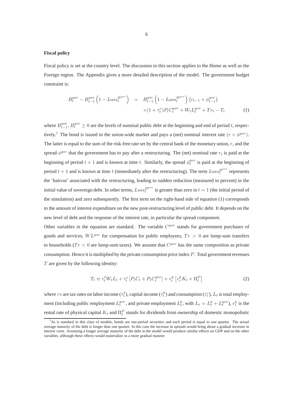#### **Fiscal policy**

Fiscal policy is set at the country level. The discussion in this section applies to the Home as well as the Foreign region. The Appendix gives a more detailed description of the model. The government budget constraint is:

$$
B_t^{gov} - B_{t-1}^{gov} \left( 1 - Loss_t^{B^{gov}} \right) = B_{t-1}^{gov} \left( 1 - Loss_t^{B^{gov}} \right) \left( r_{t-1} + \phi_{t-1}^{gov} \right) + \left( 1 + \tau_t^c \right) P_t C_t^{gov} + W_t L_t^{gov} + Tr_t - T_t
$$
 (1)

where  $B_{t-1}^{gov}$ ,  $B_t^{gov} \ge 0$  are the levels of nominal public debt at the beginning and end of period t, respectively.<sup>7</sup> The bond is issued in the union-wide market and pays a (net) nominal interest rate  $(r + \phi^{gov})$ . The latter is equal to the sum of the risk-free rate set by the central bank of the monetary union,  $r$ , and the spread  $\phi^{gov}$  that the government has to pay after a restructuring. The (net) nominal rate  $r_t$  is paid at the beginning of period  $t + 1$  and is known at time t. Similarly, the spread  $\phi_t^{gov}$  is paid at the beginning of period  $t + 1$  and is known at time t (immediately after the restructuring). The term  $Loss_t^{B^{gov}}$  represents the 'haircut' associated with the restructuring, leading to sudden reduction (measured in percent) in the initial value of sovereign debt. In other terms,  $Loss_t^{B^{gov}}$  is greater than zero in  $t = 1$  (the initial period of the simulation) and zero subsequently. The first term on the right-hand side of equation (1) corresponds to the amount of interest expenditure on the new post-restructuring level of public debt. It depends on the new level of debt and the response of the interest rate, in particular the spread component.

Other variables in the equation are standard. The variable  $C^{gov}$  stands for government purchases of goods and services,  $WL^{gov}$  for compensation for public employees,  $Tr > 0$  are lump-sum transfers to households ( $Tr < 0$  are lump-sum taxes). We assume that  $C^{gov}$  has the same composition as private consumption. Hence it is multiplied by the private consumption price index  $P$ . Total government revenues  $T$  are given by the following identity:

$$
T_t \equiv \tau_t^{\ell} W_t L_t + \tau_t^c \left[ P_t C_t + P_t C_t^{gov} \right] + \tau_t^k \left[ r_t^k K_t + \Pi_t^P \right] \tag{2}
$$

where  $\tau s$  are tax rates on labor income ( $\tau_t^{\ell}$ ), capital income ( $\tau_t^k$ ) and consumption ( $\tau_t^c$ ),  $L_t$  is total employment (including public employment  $L_t^{gov}$ , and private employment  $L_t^p$ , with  $L_t = L_t^p + L_t^{gov}$ ),  $r_t^k$  is the rental rate of physical capital  $K_t$  and  $\Pi_t^P$  stands for dividends from ownership of domestic monopolistic

 $7$ As is standard in this class of models, bonds are one-period securities and each period is equal to one quarter. The actual average maturity of the debt is longer than one quarter. In this case the increase in spreads would bring about a gradual increase in interest costs. Assuming a longer average maturity of the debt in the model would produce similar effects on GDP and on the other variables, although these effects would materialize in a more gradual manner.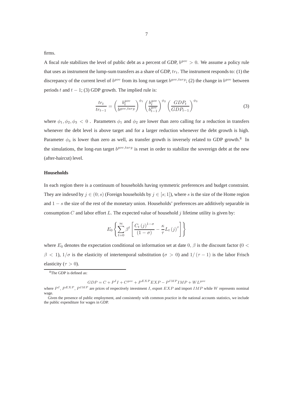firms.

A fiscal rule stabilizes the level of public debt as a percent of GDP,  $b^{gov} > 0$ . We assume a policy rule that uses as instrument the lump-sum transfers as a share of GDP,  $tr_t$ . The instrument responds to: (1) the discrepancy of the current level of  $b^{gov}$  from its long run target  $b^{gov, targ}$ ; (2) the change in  $b^{gov}$  between periods t and  $t - 1$ ; (3) GDP growth. The implied rule is:

$$
\frac{tr_t}{tr_{t-1}} = \left(\frac{b_t^{gov}}{b^{gov, targ}}\right)^{\phi_1} \left(\frac{b_t^{gov}}{b_{t-1}^{gov}}\right)^{\phi_2} \left(\frac{GDP_t}{GDP_{t-1}}\right)^{\phi_3} \tag{3}
$$

where  $\phi_1, \phi_2, \phi_3 < 0$ . Parameters  $\phi_1$  and  $\phi_2$  are lower than zero calling for a reduction in transfers whenever the debt level is above target and for a larger reduction whenever the debt growth is high. Parameter  $\phi_3$  is lower than zero as well, as transfer growth is inversely related to GDP growth.<sup>8</sup> In the simulations, the long-run target  $b^{gov, targ}$  is reset in order to stabilize the sovereign debt at the new (after-haircut) level.

#### **Households**

In each region there is a continuum of households having symmetric preferences and budget constraint. They are indexed by  $j \in (0; s)$  (Foreign households by  $j \in [s; 1]$ ), where s is the size of the Home region and 1 − s the size of the rest of the monetary union. Households' preferences are additively separable in consumption C and labor effort L. The expected value of household  $j$  lifetime utility is given by:

$$
E_0 \left\{ \sum_{t=0}^{\infty} \beta^t \left[ \frac{C_t (j)^{1-\sigma}}{(1-\sigma)} - \frac{\kappa}{\tau} L_t (j)^{\tau} \right] \right\}
$$

where  $E_0$  denotes the expectation conditional on information set at date 0,  $\beta$  is the discount factor (0 <  $\beta$  < 1),  $1/\sigma$  is the elasticity of intertemporal substitution ( $\sigma > 0$ ) and  $1/(\tau - 1)$  is the labor Frisch elasticity ( $\tau > 0$ ).

 $GDP = C + P<sup>I</sup>I + C<sup>gov</sup> + P<sup>EXP</sup> EXP - P<sup>IMP</sup>IMP + WL<sup>gov</sup>$ 

<sup>8</sup>The GDP is defined as:

where  $P^I$ ,  $P^{EXP}$ ,  $P^{IMP}$  are prices of respectively investment I, export  $EXP$  and import IMP while W represents nominal wage.

Given the presence of public employment, and consistently with common practice in the national accounts statistics, we include the public expenditure for wages in GDP.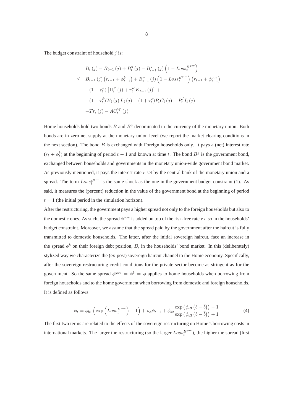The budget constraint of household  $j$  is:

$$
B_t(j) - B_{t-1}(j) + B_t^g(j) - B_{t-1}^g(j) \left(1 - Loss_t^{B^{gov}}\right)
$$
  
\n
$$
\leq B_{t-1}(j) \left(r_{t-1} + \phi_{t-1}^b\right) + B_{t-1}^g(j) \left(1 - Loss_t^{B^{gov}}\right) \left(r_{t-1} + \phi_{t-1}^{gov}\right)
$$
  
\n
$$
+ (1 - \tau_t^k) \left[\Pi_t^P(j) + r_t^K K_{t-1}(j)\right] +
$$
  
\n
$$
+ (1 - \tau_t^{\ell}) W_t(j) L_t(j) - (1 + \tau_t^c) P_t C_t(j) - P_t^I I_t(j)
$$
  
\n
$$
+ Tr_t(j) - AC_t^W(j)
$$

Home households hold two bonds  $B$  and  $B<sup>g</sup>$  denominated in the currency of the monetary union. Both bonds are in zero net supply at the monetary union level (we report the market clearing conditions in the next section). The bond  $B$  is exchanged with Foreign households only. It pays a (net) interest rate  $(r_t + \phi_t^b)$  at the beginning of period  $t + 1$  and known at time t. The bond  $B<sup>g</sup>$  is the government bond, exchanged between households and governments in the monetary union-wide government bond market. As previously mentioned, it pays the interest rate  $r$  set by the central bank of the monetary union and a spread. The term  $Loss<sub>t</sub><sup>Box</sup>$  is the same shock as the one in the government budget constraint (1). As said, it measures the (percent) reduction in the value of the government bond at the beginning of period  $t = 1$  (the initial period in the simulation horizon).

After the restructuring, the government pays a higher spread not only to the foreign households but also to the domestic ones. As such, the spread  $\phi^{gov}$  is added on top of the risk-free rate r also in the households' budget constraint. Moreover, we assume that the spread paid by the government after the haircut is fully transmitted to domestic households. The latter, after the initial sovereign haircut, face an increase in the spread  $\phi^b$  on their foreign debt position, B, in the households' bond market. In this (deliberately) stylized way we characterize the (ex-post) sovereign haircut channel to the Home economy. Specifically, after the sovereign restructuring credit conditions for the private sector become as stringent as for the government. So the same spread  $\phi^{gov} = \phi^b = \phi$  applies to home households when borrowing from foreign households and to the home government when borrowing from domestic and foreign households. It is defined as follows:

$$
\phi_t = \phi_{b1} \left( \exp \left( Loss_t^{B^{gov}} \right) - 1 \right) + \rho_{\phi} \phi_{t-1} + \phi_{b2} \frac{\exp \left( \phi_{b3} \left( b - \bar{b} \right) \right) - 1}{\exp \left( \phi_{b3} \left( b - \bar{b} \right) \right) + 1} \tag{4}
$$

The first two terms are related to the effects of the sovereign restructuring on Home's borrowing costs in international markets. The larger the restructuring (so the larger  $Loss<sub>t</sub><sup>Box</sup>$ ), the higher the spread (first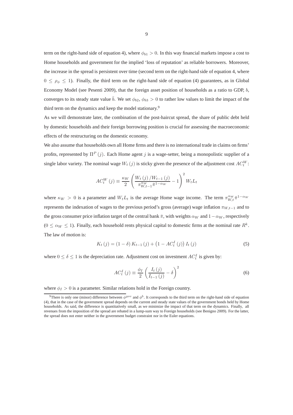term on the right-hand side of equation 4), where  $\phi_{b1} > 0$ . In this way financial markets impose a cost to Home households and government for the implied 'loss of reputation' as reliable borrowers. Moreover, the increase in the spread is persistent over time (second term on the right-hand side of equation 4, where  $0 \leq \rho_{\phi} \leq 1$ ). Finally, the third term on the right-hand side of equation (4) guarantees, as in Global Economy Model (see Pesenti 2009), that the foreign asset position of households as a ratio to GDP, b, converges to its steady state value  $\bar{b}$ . We set  $\phi_{b2}$ ,  $\phi_{b3} > 0$  to rather low values to limit the impact of the third term on the dynamics and keep the model stationary.<sup>9</sup>

As we will demonstrate later, the combination of the post-haircut spread, the share of public debt held by domestic households and their foreign borrowing position is crucial for assessing the macroeconomic effects of the restructuring on the domestic economy.

We also assume that households own all Home firms and there is no international trade in claims on firms' profits, represented by  $\Pi^P(j)$ . Each Home agent j is a wage-setter, being a monopolistic supplier of a single labor variety. The nominal wage  $W_t(j)$  is sticky given the presence of the adjustment cost  $AC_t^W$ :

$$
AC_{t}^{W}(j) \equiv \frac{\kappa_{W}}{2} \left( \frac{W_{t}(j) / W_{t-1}(j)}{\pi_{W,t-1}^{\alpha_{W}} \pi^{1-\alpha_{W}}} - 1 \right)^{2} W_{t} L_{t}
$$

where  $\kappa_W > 0$  is a parameter and  $W_t L_t$  is the average Home wage income. The term  $\pi_{W,t}^{\alpha_W} \pi^{1-\alpha_W}$ represents the indexation of wages to the previous period's gross (average) wage inflation  $\pi_{W,t-1}$  and to the gross consumer price inflation target of the central bank  $\bar{\pi}$ , with weights  $\alpha_W$  and  $1-\alpha_W$ , respectively  $(0 \le \alpha_W \le 1)$ . Finally, each household rents physical capital to domestic firms at the nominal rate  $R^k$ . The law of motion is:

$$
K_{t}(j) = (1 - \delta) K_{t-1}(j) + (1 - AC_{t}^{I}(j)) I_{t}(j)
$$
\n(5)

where  $0 \le \delta \le 1$  is the depreciation rate. Adjustment cost on investment  $AC_t^I$  is given by:

$$
AC_t^I(j) \equiv \frac{\phi_I}{2} \left( \frac{I_t(j)}{I_{t-1}(j)} - \delta \right)^2 \tag{6}
$$

where  $\phi_I > 0$  is a parameter. Similar relations hold in the Foreign country.

<sup>&</sup>lt;sup>9</sup>There is only one (minor) difference between  $\phi^{gov}$  and  $\phi^b$ . It corresponds to the third term on the right-hand side of equation (4), that in the case of the government spread depends on the current and steady state values of the government bonds held by Home households. As said, the difference is quantitatively small, as we minimize the impact of that term on the dynamics. Finally, all revenues from the imposition of the spread are rebated in a lump-sum way to Foreign households (see Benigno 2009). For the latter, the spread does not enter neither in the government budget constraint nor in the Euler equations.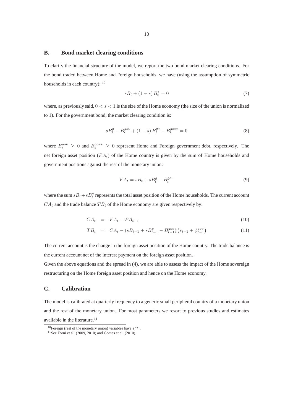### **B. Bond market clearing conditions**

To clarify the financial structure of the model, we report the two bond market clearing conditions. For the bond traded between Home and Foreign households, we have (using the assumption of symmetric households in each country): <sup>10</sup>

$$
sB_t + (1 - s) B_t^* = 0 \tag{7}
$$

where, as previously said,  $0 < s < 1$  is the size of the Home economy (the size of the union is normalized to 1). For the government bond, the market clearing condition is:

$$
sB_t^g - B_t^{gov} + (1 - s)B_t^{g*} - B_t^{gov*} = 0
$$
\n(8)

where  $B_t^{gov} \geq 0$  and  $B_t^{gov*} \geq 0$  represent Home and Foreign government debt, respectively. The net foreign asset position  $(FA_t)$  of the Home country is given by the sum of Home households and government positions against the rest of the monetary union:

$$
FA_t = sB_t + sB_t^g - B_t^{gov}
$$
\n<sup>(9)</sup>

where the sum  $sB_t+sB_t^g$  represents the total asset position of the Home households. The current account  $CA<sub>t</sub>$  and the trade balance  $TB<sub>t</sub>$  of the Home economy are given respectively by:

$$
CA_t = FA_t - FA_{t-1} \tag{10}
$$

$$
TB_t = CA_t - (sB_{t-1} + sB_{t-1}^g - B_{t-1}^{gov}) (r_{t-1} + \phi_{t-1}^{gov})
$$
\n(11)

The current account is the change in the foreign asset position of the Home country. The trade balance is the current account net of the interest payment on the foreign asset position.

Given the above equations and the spread in (4), we are able to assess the impact of the Home sovereign restructuring on the Home foreign asset position and hence on the Home economy.

# **C. Calibration**

The model is calibrated at quarterly frequency to a generic small peripheral country of a monetary union and the rest of the monetary union. For most parameters we resort to previous studies and estimates available in the literature.<sup>11</sup>

<sup>&</sup>lt;sup>10</sup>Foreign (rest of the monetary union) variables have a  $**$ .

<sup>11</sup>See Forni et al. (2009, 2010) and Gomes et al. (2010).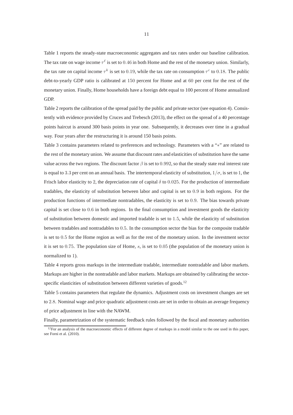Table 1 reports the steady-state macroeconomic aggregates and tax rates under our baseline calibration. The tax rate on wage income  $\tau^{\ell}$  is set to 0.46 in both Home and the rest of the monetary union. Similarly, the tax rate on capital income  $\tau^k$  is set to 0.19, while the tax rate on consumption  $\tau^c$  to 0.18. The public debt-to-yearly GDP ratio is calibrated at 150 percent for Home and at 60 per cent for the rest of the monetary union. Finally, Home households have a foreign debt equal to 100 percent of Home annualized GDP.

Table 2 reports the calibration of the spread paid by the public and private sector (see equation 4). Consistently with evidence provided by Cruces and Trebesch (2013), the effect on the spread of a 40 percentage points haircut is around 300 basis points in year one. Subsequently, it decreases over time in a gradual way. Four years after the restructuring it is around 150 basis points.

Table 3 contains parameters related to preferences and technology. Parameters with a "∗" are related to the rest of the monetary union. We assume that discount rates and elasticities of substitution have the same value across the two regions. The discount factor  $\beta$  is set to 0.992, so that the steady state real interest rate is equal to 3.3 per cent on an annual basis. The intertemporal elasticity of substitution,  $1/\sigma$ , is set to 1, the Frisch labor elasticity to 2, the depreciation rate of capital  $\delta$  to 0.025. For the production of intermediate tradables, the elasticity of substitution between labor and capital is set to 0.9 in both regions. For the production functions of intermediate nontradables, the elasticity is set to 0.9. The bias towards private capital is set close to 0.6 in both regions. In the final consumption and investment goods the elasticity of substitution between domestic and imported tradable is set to 1.5, while the elasticity of substitution between tradables and nontradables to 0.5. In the consumption sector the bias for the composite tradable is set to 0.5 for the Home region as well as for the rest of the monetary union. In the investment sector it is set to  $0.75$ . The population size of Home, s, is set to  $0.05$  (the population of the monetary union is normalized to 1).

Table 4 reports gross markups in the intermediate tradable, intermediate nontradable and labor markets. Markups are higher in the nontradable and labor markets. Markups are obtained by calibrating the sectorspecific elasticities of substitution between different varieties of goods.<sup>12</sup>

Table 5 contains parameters that regulate the dynamics. Adjustment costs on investment changes are set to 2.8. Nominal wage and price quadratic adjustment costs are set in order to obtain an average frequency of price adjustment in line with the NAWM.

Finally, parametrization of the systematic feedback rules followed by the fiscal and monetary authorities

 $12$  For an analysis of the macroeconomic effects of different degree of markups in a model similar to the one used in this paper, see Forni et al. (2010).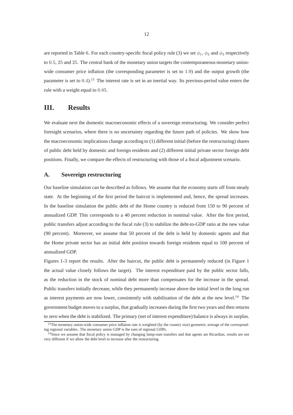are reported in Table 6. For each country-specific fiscal policy rule (3) we set  $\phi_1$ ,  $\phi_2$  and  $\phi_3$  respectively to 0.5, 25 and 25. The central bank of the monetary union targets the contemporaneous monetary unionwide consumer price inflation (the corresponding parameter is set to 1.9) and the output growth (the parameter is set to 0.4).<sup>13</sup> The interest rate is set in an inertial way. Its previous-period value enters the rule with a weight equal to 0.85.

# **III. Results**

We evaluate next the domestic macroeconomic effects of a sovereign restructuring. We consider perfect foresight scenarios, where there is no uncertainty regarding the future path of policies. We show how the macroeconomic implications change according to (1) different initial (before the restructuring) shares of public debt held by domestic and foreign residents and (2) different initial private sector foreign debt positions. Finally, we compare the effects of restructuring with those of a fiscal adjustment scenario.

## **A. Sovereign restructuring**

Our baseline simulation can be described as follows. We assume that the economy starts off from steady state. At the beginning of the first period the haircut is implemented and, hence, the spread increases. In the baseline simulation the public debt of the Home country is reduced from 150 to 90 percent of annualized GDP. This corresponds to a 40 percent reduction in nominal value. After the first period, public transfers adjust according to the fiscal rule (3) to stabilize the debt-to-GDP ratio at the new value (90 percent). Moreover, we assume that 50 percent of the debt is held by domestic agents and that the Home private sector has an initial debt position towards foreign residents equal to 100 percent of annualized GDP.

Figures 1-3 report the results. After the haircut, the public debt is permanently reduced (in Figure 1 the actual value closely follows the target). The interest expenditure paid by the public sector falls, as the reduction in the stock of nominal debt more than compensates for the increase in the spread. Public transfers initially decrease, while they permanently increase above the initial level in the long run as interest payments are now lower, consistently with stabilization of the debt at the new level.<sup>14</sup> The government budget moves to a surplus, that gradually increases during the first two years and then returns to zero when the debt is stabilized. The primary (net of interest expenditure) balance is always in surplus.

<sup>&</sup>lt;sup>13</sup>The monetary union-wide consumer price inflation rate is weighted (by the country size) geometric average of the corresponding regional variables. The monetary union GDP is the sum of regional GDPs.

<sup>&</sup>lt;sup>14</sup>Since we assume that fiscal policy is managed by changing lump-sum transfers and that agents are Ricardian, results are not very different if we allow the debt level to increase after the restructuring.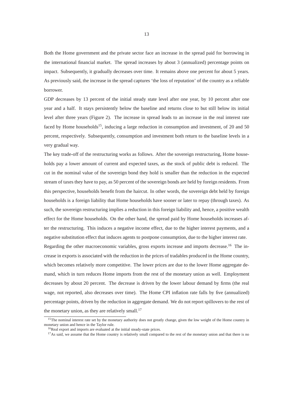Both the Home government and the private sector face an increase in the spread paid for borrowing in the international financial market. The spread increases by about 3 (annualized) percentage points on impact. Subsequently, it gradually decreases over time. It remains above one percent for about 5 years. As previously said, the increase in the spread captures 'the loss of reputation' of the country as a reliable borrower.

GDP decreases by 13 percent of the initial steady state level after one year, by 10 percent after one year and a half. It stays persistently below the baseline and returns close to but still below its initial level after three years (Figure 2). The increase in spread leads to an increase in the real interest rate faced by Home households<sup>15</sup>, inducing a large reduction in consumption and investment, of 20 and 50 percent, respectively. Subsequently, consumption and investment both return to the baseline levels in a very gradual way.

The key trade-off of the restructuring works as follows. After the sovereign restructuring, Home households pay a lower amount of current and expected taxes, as the stock of public debt is reduced. The cut in the nominal value of the sovereign bond they hold is smaller than the reduction in the expected stream of taxes they have to pay, as 50 percent of the sovereign bonds are held by foreign residents. From this perspective, households benefit from the haircut. In other words, the sovereign debt held by foreign households is a foreign liability that Home households have sooner or later to repay (through taxes). As such, the sovereign restructuring implies a reduction in this foreign liability and, hence, a positive wealth effect for the Home households. On the other hand, the spread paid by Home households increases after the restructuring. This induces a negative income effect, due to the higher interest payments, and a negative substitution effect that induces agents to postpone consumption, due to the higher interest rate. Regarding the other macroeconomic variables, gross exports increase and imports decrease.<sup>16</sup> The increase in exports is associated with the reduction in the prices of tradables produced in the Home country, which becomes relatively more competitive. The lower prices are due to the lower Home aggregate demand, which in turn reduces Home imports from the rest of the monetary union as well. Employment decreases by about 20 percent. The decrease is driven by the lower labour demand by firms (the real wage, not reported, also decreases over time). The Home CPI inflation rate falls by five (annualized) percentage points, driven by the reduction in aggregate demand. We do not report spillovers to the rest of the monetary union, as they are relatively small. $^{17}$ 

<sup>&</sup>lt;sup>15</sup>The nominal interest rate set by the monetary authority does not greatly change, given the low weight of the Home country in monetary union and hence in the Taylor rule.

<sup>&</sup>lt;sup>16</sup>Real export and imports are evaluated at the initial steady-state prices.

<sup>&</sup>lt;sup>17</sup>As said, we assume that the Home country is relatively small compared to the rest of the monetary union and that there is no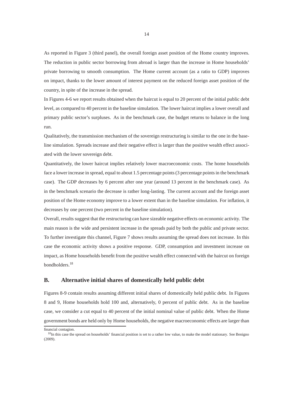As reported in Figure 3 (third panel), the overall foreign asset position of the Home country improves. The reduction in public sector borrowing from abroad is larger than the increase in Home households' private borrowing to smooth consumption. The Home current account (as a ratio to GDP) improves on impact, thanks to the lower amount of interest payment on the reduced foreign asset position of the country, in spite of the increase in the spread.

In Figures 4-6 we report results obtained when the haircut is equal to 20 percent of the initial public debt level, as compared to 40 percent in the baseline simulation. The lower haircut implies a lower overall and primary public sector's surpluses. As in the benchmark case, the budget returns to balance in the long run.

Qualitatively, the transmission mechanism of the sovereign restructuring is similar to the one in the baseline simulation. Spreads increase and their negative effect is larger than the positive wealth effect associated with the lower sovereign debt.

Quantitatively, the lower haircut implies relatively lower macroeconomic costs. The home households face a lower increase in spread, equal to about 1.5 percentage points (3 percentage points in the benchmark case). The GDP decreases by 6 percent after one year (around 13 percent in the benchmark case). As in the benchmark scenario the decrease is rather long-lasting. The current account and the foreign asset position of the Home economy improve to a lower extent than in the baseline simulation. For inflation, it decreases by one percent (two percent in the baseline simulation).

Overall, results suggest that the restructuring can have sizeable negative effects on economic activity. The main reason is the wide and persistent increase in the spreads paid by both the public and private sector. To further investigate this channel, Figure 7 shows results assuming the spread does not increase. In this case the economic activity shows a positive response. GDP, consumption and investment increase on impact, as Home households benefit from the positive wealth effect connected with the haircut on foreign bondholders.<sup>18</sup>

## **B. Alternative initial shares of domestically held public debt**

Figures 8-9 contain results assuming different initial shares of domestically held public debt. In Figures 8 and 9, Home households hold 100 and, alternatively, 0 percent of public debt. As in the baseline case, we consider a cut equal to 40 percent of the initial nominal value of public debt. When the Home government bonds are held only by Home households, the negative macroeconomic effects are larger than

financial contagion.

<sup>&</sup>lt;sup>18</sup>In this case the spread on households' financial position is set to a rather low value, to make the model stationary. See Benigno (2009).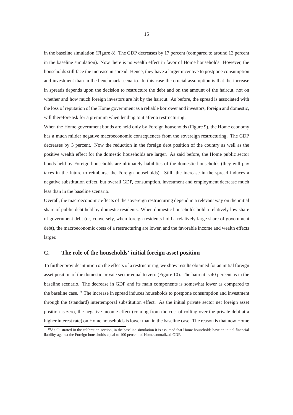in the baseline simulation (Figure 8). The GDP decreases by 17 percent (compared to around 13 percent in the baseline simulation). Now there is no wealth effect in favor of Home households. However, the households still face the increase in spread. Hence, they have a larger incentive to postpone consumption and investment than in the benchmark scenario. In this case the crucial assumption is that the increase in spreads depends upon the decision to restructure the debt and on the amount of the haircut, not on whether and how much foreign investors are hit by the haircut. As before, the spread is associated with the loss of reputation of the Home government as a reliable borrower and investors, foreign and domestic, will therefore ask for a premium when lending to it after a restructuring.

When the Home government bonds are held only by Foreign households (Figure 9), the Home economy has a much milder negative macroeconomic consequences from the sovereign restructuring. The GDP decreases by 3 percent. Now the reduction in the foreign debt position of the country as well as the positive wealth effect for the domestic households are larger. As said before, the Home public sector bonds held by Foreign households are ultimately liabilities of the domestic households (they will pay taxes in the future to reimburse the Foreign households). Still, the increase in the spread induces a negative substitution effect, but overall GDP, consumption, investment and employment decrease much less than in the baseline scenario.

Overall, the macroeconomic effects of the sovereign restructuring depend in a relevant way on the initial share of public debt held by domestic residents. When domestic households hold a relatively low share of government debt (or, conversely, when foreign residents hold a relatively large share of government debt), the macroeconomic costs of a restructuring are lower, and the favorable income and wealth effects larger.

## **C. The role of the households' initial foreign asset position**

To further provide intuition on the effects of a restructuring, we show results obtained for an initial foreign asset position of the domestic private sector equal to zero (Figure 10). The haircut is 40 percent as in the baseline scenario. The decrease in GDP and its main components is somewhat lower as compared to the baseline case.<sup>19</sup> The increase in spread induces households to postpone consumption and investment through the (standard) intertemporal substitution effect. As the initial private sector net foreign asset position is zero, the negative income effect (coming from the cost of rolling over the private debt at a higher interest rate) on Home households is lower than in the baseline case. The reason is that now Home

 $19$ As illustrated in the calibration section, in the baseline simulation it is assumed that Home households have an initial financial liability against the Foreign households equal to 100 percent of Home annualized GDP.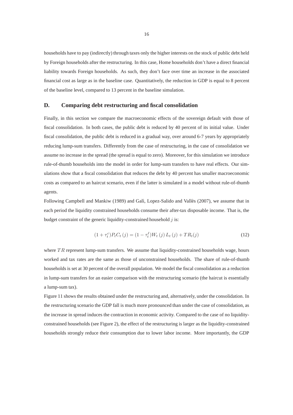households have to pay (indirectly) through taxes only the higher interests on the stock of public debt held by Foreign households after the restructuring. In this case, Home households don't have a direct financial liability towards Foreign households. As such, they don't face over time an increase in the associated financial cost as large as in the baseline case. Quantitatively, the reduction in GDP is equal to 8 percent of the baseline level, compared to 13 percent in the baseline simulation.

## **D. Comparing debt restructuring and fiscal consolidation**

Finally, in this section we compare the macroeconomic effects of the sovereign default with those of fiscal consolidation. In both cases, the public debt is reduced by 40 percent of its initial value. Under fiscal consolidation, the public debt is reduced in a gradual way, over around 6-7 years by appropriately reducing lump-sum transfers. Differently from the case of restructuring, in the case of consolidation we assume no increase in the spread (the spread is equal to zero). Moreover, for this simulation we introduce rule-of-thumb households into the model in order for lump-sum transfers to have real effects. Our simulations show that a fiscal consolidation that reduces the debt by 40 percent has smaller macroeconomic costs as compared to an haircut scenario, even if the latter is simulated in a model without rule-of-thumb agents.

Following Campbell and Mankiw (1989) and Galì, Lopez-Salido and Vallès (2007), we assume that in each period the liquidity constrained households consume their after-tax disposable income. That is, the budget constraint of the generic liquidity-constrained household  $j$  is:

$$
(1 + \tau_t^c) P_t C_t (j) = (1 - \tau_t^{\ell}) W_t (j) L_t (j) + T R_t (j)
$$
\n(12)

where  $TR$  represent lump-sum transfers. We assume that liquidity-constrained households wage, hours worked and tax rates are the same as those of unconstrained households. The share of rule-of-thumb households is set at 30 percent of the overall population. We model the fiscal consolidation as a reduction in lump-sum transfers for an easier comparison with the restructuring scenario (the haircut is essentially a lump-sum tax).

Figure 11 shows the results obtained under the restructuring and, alternatively, under the consolidation. In the restructuring scenario the GDP fall is much more pronounced than under the case of consolidation, as the increase in spread induces the contraction in economic activity. Compared to the case of no liquidityconstrained households (see Figure 2), the effect of the restructuring is larger as the liquidity-constrained households strongly reduce their consumption due to lower labor income. More importantly, the GDP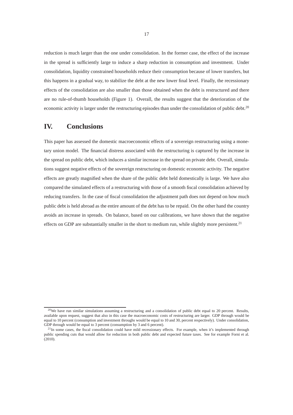reduction is much larger than the one under consolidation. In the former case, the effect of the increase in the spread is sufficiently large to induce a sharp reduction in consumption and investment. Under consolidation, liquidity constrained households reduce their consumption because of lower transfers, but this happens in a gradual way, to stabilize the debt at the new lower final level. Finally, the recessionary effects of the consolidation are also smaller than those obtained when the debt is restructured and there are no rule-of-thumb households (Figure 1). Overall, the results suggest that the deterioration of the economic activity is larger under the restructuring episodes than under the consolidation of public debt.<sup>20</sup>

# **IV. Conclusions**

This paper has assessed the domestic macroeconomic effects of a sovereign restructuring using a monetary union model. The financial distress associated with the restructuring is captured by the increase in the spread on public debt, which induces a similar increase in the spread on private debt. Overall, simulations suggest negative effects of the sovereign restructuring on domestic economic activity. The negative effects are greatly magnified when the share of the public debt held domestically is large. We have also compared the simulated effects of a restructuring with those of a smooth fiscal consolidation achieved by reducing transfers. In the case of fiscal consolidation the adjustment path does not depend on how much public debt is held abroad as the entire amount of the debt has to be repaid. On the other hand the country avoids an increase in spreads. On balance, based on our calibrations, we have shown that the negative effects on GDP are substantially smaller in the short to medium run, while slightly more persistent.<sup>21</sup>

 $20$ We have run similar simulations assuming a restructuring and a consolidation of public debt equal to 20 percent. Results, available upon request, suggest that also in this case the macroeconomic costs of restructuring are larger. GDP through would be equal to 10 percent (consumption and investment throughs would be equal to 10 and 30, percent respectively). Under consolidation, GDP through would be equal to 3 percent (consumption by 3 and 6 percent).

<sup>&</sup>lt;sup>21</sup>In some cases, the fiscal consolidation could have mild recessionary effects. For example, when it's implemented through public spending cuts that would allow for reduction in both public debt and expected future taxes. See for example Forni et al. (2010).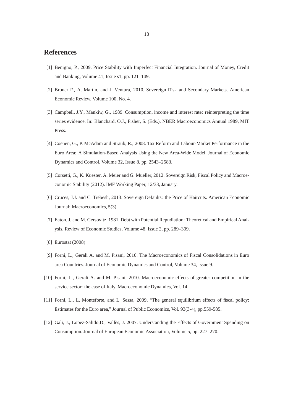# **References**

- [1] Benigno, P., 2009. Price Stability with Imperfect Financial Integration. Journal of Money, Credit and Banking, Volume 41, Issue s1, pp. 121–149.
- [2] Broner F., A. Martin, and J. Ventura, 2010. Sovereign Risk and Secondary Markets. American Economic Review, Volume 100, No. 4.
- [3] Campbell, J.Y., Mankiw, G., 1989. Consumption, income and interest rate: reinterpreting the time series evidence. In: Blanchard, O.J., Fisher, S. (Eds.), NBER Macroeconomics Annual 1989, MIT Press.
- [4] Coenen, G., P. McAdam and Straub, R., 2008. Tax Reform and Labour-Market Performance in the Euro Area: A Simulation-Based Analysis Using the New Area-Wide Model. Journal of Economic Dynamics and Control, Volume 32, Issue 8, pp. 2543–2583.
- [5] Corsetti, G., K. Kuester, A. Meier and G. Mueller, 2012. Sovereign Risk, Fiscal Policy and Macroeconomic Stability (2012). IMF Working Paper, 12/33, January.
- [6] Cruces, J.J. and C. Trebesh, 2013. Sovereign Defaults: the Price of Haircuts. American Economic Journal: Macroeconomics, 5(3).
- [7] Eaton, J. and M. Gersovitz, 1981. Debt with Potential Repudiation: Theoretical and Empirical Analysis. Review of Economic Studies, Volume 48, Issue 2, pp. 289–309.
- [8] Eurostat (2008)
- [9] Forni, L., Gerali A. and M. Pisani, 2010. The Macroeconomics of Fiscal Consolidations in Euro area Countries. Journal of Economic Dynamics and Control, Volume 34, Issue 9.
- [10] Forni, L., Gerali A. and M. Pisani, 2010. Macroeconomic effects of greater competition in the service sector: the case of Italy. Macroeconomic Dynamics, Vol. 14.
- [11] Forni, L., L. Monteforte, and L. Sessa, 2009, "The general equilibrium effects of fiscal policy: Estimates for the Euro area," Journal of Public Economics, Vol. 93(3-4), pp.559-585.
- [12] Galì, J., Lopez-Salido,D., Vallès, J. 2007. Understanding the Effects of Government Spending on Consumption. Journal of European Economic Association, Volume 5, pp. 227–270.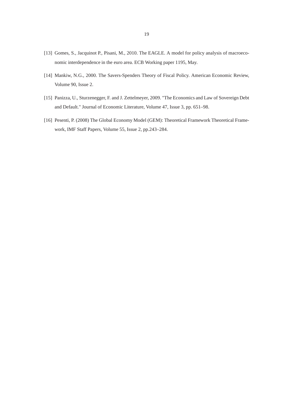- [13] Gomes, S., Jacquinot P., Pisani, M., 2010. The EAGLE. A model for policy analysis of macroeconomic interdependence in the euro area. ECB Working paper 1195, May.
- [14] Mankiw, N.G., 2000. The Savers-Spenders Theory of Fiscal Policy. American Economic Review, Volume 90, Issue 2.
- [15] Panizza, U., Sturzenegger, F. and J. Zettelmeyer, 2009. "The Economics and Law of Sovereign Debt and Default." Journal of Economic Literature, Volume 47, Issue 3, pp. 651–98.
- [16] Pesenti, P. (2008) The Global Economy Model (GEM): Theoretical Framework Theoretical Framework, IMF Staff Papers, Volume 55, Issue 2, pp.243–284.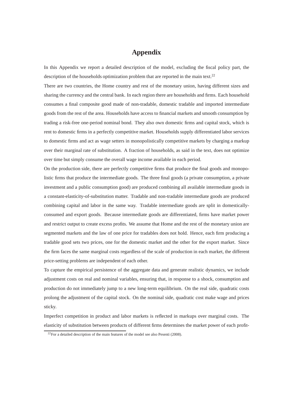# **Appendix**

In this Appendix we report a detailed description of the model, excluding the fiscal policy part, the description of the households optimization problem that are reported in the main text.<sup>22</sup>

There are two countries, the Home country and rest of the monetary union, having different sizes and sharing the currency and the central bank. In each region there are households and firms. Each household consumes a final composite good made of non-tradable, domestic tradable and imported intermediate goods from the rest of the area. Households have access to financial markets and smooth consumption by trading a risk-free one-period nominal bond. They also own domestic firms and capital stock, which is rent to domestic firms in a perfectly competitive market. Households supply differentiated labor services to domestic firms and act as wage setters in monopolistically competitive markets by charging a markup over their marginal rate of substitution. A fraction of households, as said in the text, does not optimize over time but simply consume the overall wage income available in each period.

On the production side, there are perfectly competitive firms that produce the final goods and monopolistic firms that produce the intermediate goods. The three final goods (a private consumption, a private investment and a public consumption good) are produced combining all available intermediate goods in a constant-elasticity-of-substitution matter. Tradable and non-tradable intermediate goods are produced combining capital and labor in the same way. Tradable intermediate goods are split in domesticallyconsumed and export goods. Because intermediate goods are differentiated, firms have market power and restrict output to create excess profits. We assume that Home and the rest of the monetary union are segmented markets and the law of one price for tradables does not hold. Hence, each firm producing a tradable good sets two prices, one for the domestic market and the other for the export market. Since the firm faces the same marginal costs regardless of the scale of production in each market, the different price-setting problems are independent of each other.

To capture the empirical persistence of the aggregate data and generate realistic dynamics, we include adjustment costs on real and nominal variables, ensuring that, in response to a shock, consumption and production do not immediately jump to a new long-term equilibrium. On the real side, quadratic costs prolong the adjustment of the capital stock. On the nominal side, quadratic cost make wage and prices sticky.

Imperfect competition in product and labor markets is reflected in markups over marginal costs. The elasticity of substitution between products of different firms determines the market power of each profit-

 $22$ For a detailed description of the main features of the model see also Pesenti (2008).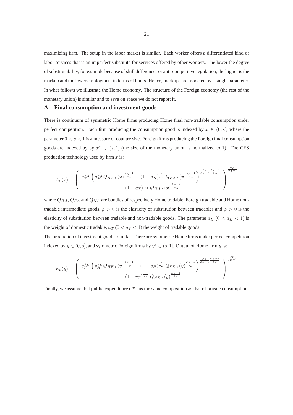maximizing firm. The setup in the labor market is similar. Each worker offers a differentiated kind of labor services that is an imperfect substitute for services offered by other workers. The lower the degree of substitutability, for example because of skill differences or anti-competitive regulation, the higher is the markup and the lower employment in terms of hours. Hence, markups are modeled by a single parameter. In what follows we illustrate the Home economy. The structure of the Foreign economy (the rest of the monetary union) is similar and to save on space we do not report it.

#### **A Final consumption and investment goods**

There is continuum of symmetric Home firms producing Home final non-tradable consumption under perfect competition. Each firm producing the consumption good is indexed by  $x \in (0, s]$ , where the parameter  $0 < s < 1$  is a measure of country size. Foreign firms producing the Foreign final consumption goods are indexed by by  $x^* \in (s, 1]$  (the size of the monetary union is normalized to 1). The CES production technology used by firm  $x$  is:

$$
A_{t}(x) \equiv \left(\begin{array}{c} \frac{1}{\phi_{A}} \left( a_{H}^{\frac{1}{\phi_{A}}} Q_{HA,t}(x)^{\frac{\rho_{A}-1}{\rho_{A}}} + (1-a_{H})^{\frac{1}{\rho_{A}}} Q_{FA,t}(x)^{\frac{\rho_{A}-1}{\rho_{A}}} \right)^{\frac{\rho_{A}}{\rho_{A}-1} \frac{\phi_{A}-1}{\phi_{A}}} \\ + (1-a_{T})^{\frac{1}{\phi_{A}}} Q_{NA,t}(x)^{\frac{\phi_{A}-1}{\phi_{A}}} \end{array}\right)^{\frac{\rho_{A}}{\rho_{A}-1}}
$$

where  $Q_{HA}$ ,  $Q_{FA}$  and  $Q_{NA}$  are bundles of respectively Home tradable, Foreign tradable and Home nontradable intermediate goods,  $\rho > 0$  is the elasticity of substitution between tradables and  $\phi > 0$  is the elasticity of substitution between tradable and non-tradable goods. The parameter  $a_H$  ( $0 < a_H < 1$ ) is the weight of domestic tradable,  $a_T$  ( $0 < a_T < 1$ ) the weight of tradable goods.

The production of investment good is similar. There are symmetric Home firms under perfect competition indexed by  $y \in (0, s]$ , and symmetric Foreign firms by  $y^* \in (s, 1]$ . Output of Home firm y is:

$$
E_{t}(y) \equiv \left(\begin{array}{c} v_{T}^{\frac{1}{\phi_{E}}} \left( v_{H}^{\frac{1}{\phi_{E}}} Q_{HE,t}(y)^{\frac{\rho_{E}-1}{\rho_{E}}} + (1 - v_{H})^{\frac{1}{\rho_{E}}} Q_{FE,t}(y)^{\frac{\rho_{E}-1}{\rho_{E}}} \right)^{\frac{\rho_{E}}{\rho_{E}-1} \frac{\phi_{E}-1}{\phi_{E}}} \\ + (1 - v_{T})^{\frac{1}{\phi_{E}}} Q_{NE,t}(y)^{\frac{\phi_{E}-1}{\phi_{E}}} \end{array}\right)^{\frac{\rho_{E}}{\rho_{E}-1} \frac{\phi_{E}-1}{\phi_{E}-1} \frac{\phi_{E}-1}{\phi_{E}-1} \frac{\phi_{E}-1}{\phi_{E}-1} \frac{\phi_{E}-1}{\phi_{E}-1} \frac{\phi_{E}-1}{\phi_{E}-1} \frac{\phi_{E}-1}{\phi_{E}-1} \frac{\phi_{E}-1}{\phi_{E}-1} \frac{\phi_{E}-1}{\phi_{E}-1} \frac{\phi_{E}-1}{\phi_{E}-1} \frac{\phi_{E}-1}{\phi_{E}-1} \frac{\phi_{E}-1}{\phi_{E}-1} \frac{\phi_{E}-1}{\phi_{E}-1} \frac{\phi_{E}-1}{\phi_{E}-1} \frac{\phi_{E}-1}{\phi_{E}-1} \frac{\phi_{E}-1}{\phi_{E}-1} \frac{\phi_{E}-1}{\phi_{E}-1} \frac{\phi_{E}-1}{\phi_{E}-1} \frac{\phi_{E}-1}{\phi_{E}-1} \frac{\phi_{E}-1}{\phi_{E}-1} \frac{\phi_{E}-1}{\phi_{E}-1} \frac{\phi_{E}-1}{\phi_{E}-1} \frac{\phi_{E}-1}{\phi_{E}-1} \frac{\phi_{E}-1}{\phi_{E}-1} \frac{\phi_{E}-1}{\phi_{E}-1} \frac{\phi_{E}-1}{\phi_{E}-1} \frac{\phi_{E}-1}{\phi_{E}-1} \frac{\phi_{E}-1}{\phi_{E}-1} \frac{\phi_{E}-1}{\phi_{E}-1} \frac{\phi_{E}-1}{\phi_{E}-1} \frac{\phi_{E}-1}{\phi_{E}-1} \frac{\phi_{E}-1}{\phi_{E}-1} \frac{\phi_{E}-1}{\phi_{E}-1} \frac{\phi_{E}-1}{\phi_{E}-1} \frac{\phi_{E}-1}{\phi_{E}-1} \frac{\phi_{E}-1}{\phi
$$

Finally, we assume that public expenditure  $C<sup>g</sup>$  has the same composition as that of private consumption.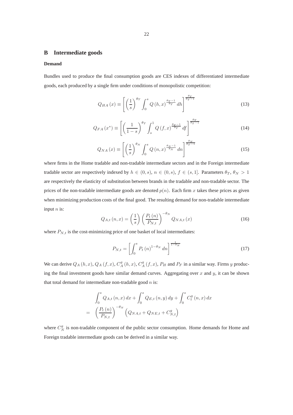### **B Intermediate goods**

#### **Demand**

Bundles used to produce the final consumption goods are CES indexes of differentiated intermediate goods, each produced by a single firm under conditions of monopolistic competition:

$$
Q_{HA}\left(x\right) \equiv \left[\left(\frac{1}{s}\right)^{\theta_{T}} \int_{0}^{s} Q\left(h,x\right)^{\frac{\theta_{T}-1}{\theta_{T}}} dh\right]^{\frac{\theta_{T}}{\theta_{T}-1}}\tag{13}
$$

$$
Q_{FA}\left(x^*\right) \equiv \left[ \left(\frac{1}{1-s}\right)^{\theta_T} \int_s^1 Q\left(f,x\right)^{\frac{\theta_T-1}{\theta_T}} df \right]^{\frac{\theta_T}{\theta_T-1}} \tag{14}
$$

$$
Q_{NA}\left(x\right) \equiv \left[ \left(\frac{1}{s}\right)^{\theta_N} \int_0^s Q\left(n, x\right)^{\frac{\theta_N - 1}{\theta_N}} dn \right]^{\frac{\theta_N}{\theta_T - 1}}\tag{15}
$$

where firms in the Home tradable and non-tradable intermediate sectors and in the Foreign intermediate tradable sector are respectively indexed by  $h \in (0, s)$ ,  $n \in (0, s)$ ,  $f \in (s, 1]$ . Parameters  $\theta_T$ ,  $\theta_N > 1$ are respectively the elasticity of substitution between brands in the tradable and non-tradable sector. The prices of the non-tradable intermediate goods are denoted  $p(n)$ . Each firm x takes these prices as given when minimizing production costs of the final good. The resulting demand for non-tradable intermediate input  $n$  is:

$$
Q_{A,t}\left(n,x\right) = \left(\frac{1}{s}\right) \left(\frac{P_t\left(n\right)}{P_{N,t}}\right)^{-\theta_N} Q_{NA,t}\left(x\right) \tag{16}
$$

where  $P_{N,t}$  is the cost-minimizing price of one basket of local intermediates:

$$
P_{N,t} = \left[ \int_0^s P_t(n)^{1-\theta_N} \, dn \right]^{\frac{1}{1-\theta_N}}
$$
\n(17)

We can derive  $Q_A(h, x)$ ,  $Q_A(f, x)$ ,  $C_A^g(h, x)$ ,  $C_A^g(f, x)$ ,  $P_H$  and  $P_F$  in a similar way. Firms y producing the final investment goods have similar demand curves. Aggregating over  $x$  and  $y$ , it can be shown that total demand for intermediate non-tradable good  $n$  is:

$$
\int_{0}^{s} Q_{A,t}(n, x) dx + \int_{0}^{s} Q_{E,t}(n, y) dy + \int_{0}^{s} C_{t}^{g}(n, x) dx
$$

$$
= \left(\frac{P_{t}(n)}{P_{N,t}}\right)^{-\theta_{N}} \left(Q_{NA,t} + Q_{NE,t} + C_{N,t}^{g}\right)
$$

where  $C_N^g$  is non-tradable component of the public sector consumption. Home demands for Home and Foreign tradable intermediate goods can be derived in a similar way.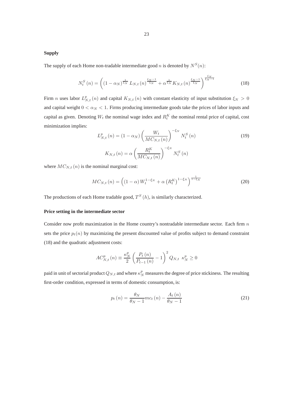### **Supply**

The supply of each Home non-tradable intermediate good n is denoted by  $N^S(n)$ :

$$
N_t^S\left(n\right) = \left( \left(1 - \alpha_N\right)^{\frac{1}{\xi_N}} L_{N,t}\left(n\right)^{\frac{\xi_N - 1}{\xi_N}} + \alpha^{\frac{1}{\xi_N}} K_{N,t}\left(n\right)^{\frac{\xi_N - 1}{\xi_N}} \right)^{\frac{\xi_N}{\xi_N - 1}} \tag{18}
$$

Firm *n* uses labor  $L_{N,t}^p(n)$  and capital  $K_{N,t}(n)$  with constant elasticity of input substitution  $\xi_N > 0$ and capital weight  $0 < \alpha_N < 1$ . Firms producing intermediate goods take the prices of labor inputs and capital as given. Denoting  $W_t$  the nominal wage index and  $R_t^K$  the nominal rental price of capital, cost minimization implies:

$$
L_{N,t}^{p}(n) = (1 - \alpha_N) \left(\frac{W_t}{MC_{N,t}(n)}\right)^{-\xi_N} N_t^{S}(n)
$$
\n
$$
K_{N,t}(n) = \alpha \left(\frac{R_t^{K}}{MC_{N,t}(n)}\right)^{-\xi_N} N_t^{S}(n)
$$
\n(19)

where  $MC_{N,t}(n)$  is the nominal marginal cost:

$$
MC_{N,t}(n) = \left( \left(1 - \alpha\right) W_t^{1 - \xi_N} + \alpha \left(R_t^K\right)^{1 - \xi_N} \right)^{\frac{1}{1 - \xi_N}}
$$
\n
$$
\tag{20}
$$

The productions of each Home tradable good,  $T^{S}(h)$ , is similarly characterized.

#### **Price setting in the intermediate sector**

Consider now profit maximization in the Home country's nontradable intermediate sector. Each firm  $n$ sets the price  $p_t(n)$  by maximizing the present discounted value of profits subject to demand constraint (18) and the quadratic adjustment costs:

$$
AC_{N,t}^{p} (n) \equiv \frac{\kappa_N^{p}}{2} \left( \frac{P_t (n)}{P_{t-1} (n)} - 1 \right)^2 Q_{N,t} \ \kappa_N^{p} \ge 0
$$

paid in unit of sectorial product  $Q_{N,t}$  and where  $\kappa_N^p$  measures the degree of price stickiness. The resulting first-order condition, expressed in terms of domestic consumption, is:

$$
p_t(n) = \frac{\theta_N}{\theta_N - 1} m c_t(n) - \frac{A_t(n)}{\theta_N - 1}
$$
\n(21)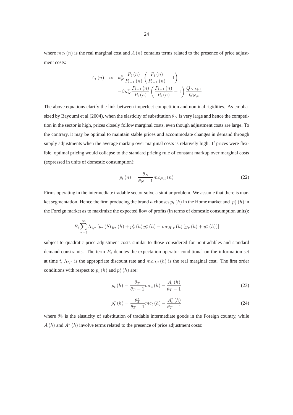where  $mc_t(n)$  is the real marginal cost and  $A(n)$  contains terms related to the presence of price adjustment costs:

$$
A_{t}(n) \approx \kappa_{N}^{p} \frac{P_{t}(n)}{P_{t-1}(n)} \left( \frac{P_{t}(n)}{P_{t-1}(n)} - 1 \right)
$$

$$
- \beta \kappa_{N}^{p} \frac{P_{t+1}(n)}{P_{t}(n)} \left( \frac{P_{t+1}(n)}{P_{t}(n)} - 1 \right) \frac{Q_{N,t+1}}{Q_{N,t}}
$$

The above equations clarify the link between imperfect competition and nominal rigidities. As emphasized by Bayoumi et al.(2004), when the elasticity of substitution  $\theta_N$  is very large and hence the competition in the sector is high, prices closely follow marginal costs, even though adjustment costs are large. To the contrary, it may be optimal to maintain stable prices and accommodate changes in demand through supply adjustments when the average markup over marginal costs is relatively high. If prices were flexible, optimal pricing would collapse to the standard pricing rule of constant markup over marginal costs (expressed in units of domestic consumption):

$$
p_t(n) = \frac{\theta_N}{\theta_N - 1} m c_{N,t}(n)
$$
\n(22)

Firms operating in the intermediate tradable sector solve a similar problem. We assume that there is market segmentation. Hence the firm producing the brand h chooses  $p_t(h)$  in the Home market and  $p_t^*(h)$  in the Foreign market as to maximize the expected flow of profits (in terms of domestic consumption units):

$$
E_t \sum_{\tau=t}^{\infty} \Lambda_{t,\tau} \left[ p_{\tau} \left( h \right) y_{\tau} \left( h \right) + p_{\tau}^{*} \left( h \right) y_{\tau}^{*} \left( h \right) - mc_{H,\tau} \left( h \right) \left( y_{\tau} \left( h \right) + y_{\tau}^{*} \left( h \right) \right) \right]
$$

subject to quadratic price adjustment costs similar to those considered for nontradables and standard demand constraints. The term  $E_t$  denotes the expectation operator conditional on the information set at time t,  $\Lambda_{t,\tau}$  is the appropriate discount rate and  $mc_{H,t}$  (h) is the real marginal cost. The first order conditions with respect to  $p_t(h)$  and  $p_t^*(h)$  are:

$$
p_t(h) = \frac{\theta_T}{\theta_T - 1} m c_t(h) - \frac{A_t(h)}{\theta_T - 1}
$$
\n<sup>(23)</sup>

$$
p_t^*(h) = \frac{\theta_T^*}{\theta_T - 1} m c_t(h) - \frac{A_t^*(h)}{\theta_T - 1}
$$
 (24)

where  $\theta_T^*$  is the elasticity of substitution of tradable intermediate goods in the Foreign country, while  $A(h)$  and  $A^*(h)$  involve terms related to the presence of price adjustment costs: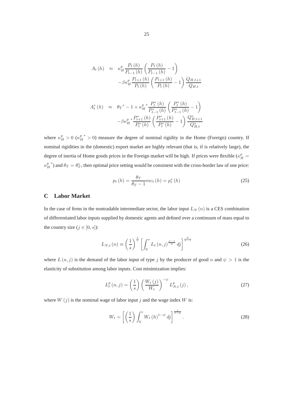$$
A_{t}(h) \approx \kappa_{H}^{p} \frac{P_{t}(h)}{P_{t-1}(h)} \left( \frac{P_{t}(h)}{P_{t-1}(h)} - 1 \right)
$$

$$
-\beta \kappa_{H}^{p} \frac{P_{t+1}(h)}{P_{t}(h)} \left( \frac{P_{t+1}(h)}{P_{t}(h)} - 1 \right) \frac{Q_{H,t+1}}{Q_{H,t}}
$$

$$
A_{t}^{*}(h) \approx \theta_{T}^{*} - 1 + \kappa_{H}^{p} \frac{P_{t}^{*}(h)}{P_{t-1}^{*}(h)} \left( \frac{P_{t}^{*}(h)}{P_{t-1}^{*}(h)} - 1 \right)
$$

$$
- \beta \kappa_{H}^{p} \frac{P_{t+1}^{*}(h)}{P_{t}^{*}(h)} \left( \frac{P_{t+1}^{*}(h)}{P_{t}^{*}(h)} - 1 \right) \frac{Q_{H,t+1}^{*}}{Q_{H,t}^{*}}
$$

where  $\kappa_H^p > 0$  ( $\kappa_H^{p*} > 0$ ) measure the degree of nominal rigidity in the Home (Foreign) country. If nominal rigidities in the (domestic) export market are highly relevant (that is, if is relatively large), the degree of inertia of Home goods prices in the Foreign market will be high. If prices were flexible  $(\kappa_H^p =$  $\kappa^p_H$ \*) and  $\theta_T = \theta_T^*$ , then optimal price setting would be consistent with the cross-border law of one price:

$$
p_t(h) = \frac{\theta_T}{\theta_T - 1} m c_t(h) = p_t^*(h)
$$
\n(25)

### **C Labor Market**

In the case of firms in the nontradable intermediate sector, the labor input  $L_N(n)$  is a CES combination of differentiated labor inputs supplied by domestic agents and defined over a continuum of mass equal to the country size ( $j \in [0, s]$ ):

$$
L_{N,t}(n) \equiv \left(\frac{1}{s}\right)^{\frac{1}{\psi}} \left[\int_0^s L_t(n,j)^{\frac{\psi-1}{\psi}} dj\right]^{\frac{\psi}{\psi-1}}
$$
(26)

where  $L(n, j)$  is the demand of the labor input of type j by the producer of good n and  $\psi > 1$  is the elasticity of substitution among labor inputs. Cost minimization implies:

$$
L_t^p(n,j) = \left(\frac{1}{s}\right) \left(\frac{W_t(j)}{W_t}\right)^{-\psi} L_{N,t}^p(j),\tag{27}
$$

where  $W(j)$  is the nominal wage of labor input j and the wage index W is:

$$
W_t = \left[ \left( \frac{1}{s} \right) \int_0^s W_t \left( h \right)^{1 - \psi} d\mathbf{j} \right]^{\frac{1}{1 - \psi}}.
$$
 (28)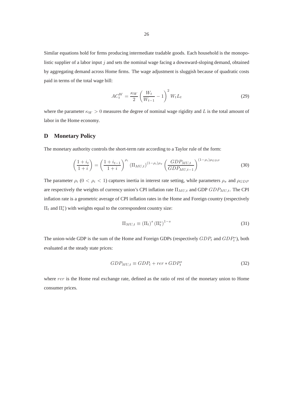Similar equations hold for firms producing intermediate tradable goods. Each household is the monopolistic supplier of a labor input  $j$  and sets the nominal wage facing a downward-sloping demand, obtained by aggregating demand across Home firms. The wage adjustment is sluggish because of quadratic costs paid in terms of the total wage bill:

$$
AC_t^W = \frac{\kappa_W}{2} \left(\frac{W_t}{W_{t-1}} - 1\right)^2 W_t L_t \tag{29}
$$

where the parameter  $\kappa_W > 0$  measures the degree of nominal wage rigidity and L is the total amount of labor in the Home economy.

## **D Monetary Policy**

The monetary authority controls the short-term rate according to a Taylor rule of the form:

$$
\left(\frac{1+i_t}{1+i}\right) = \left(\frac{1+i_{t-1}}{1+i}\right)^{\rho_i} \left(\Pi_{MU,t}\right)^{(1-\rho_i)\rho_\pi} \left(\frac{GDP_{MU,t}}{GDP_{MU,t-1}}\right)^{(1-\rho_i)\rho_{GDP}}
$$
(30)

The parameter  $\rho_i$  ( $0 < \rho_i < 1$ ) captures inertia in interest rate setting, while parameters  $\rho_{\pi}$  and  $\rho_{GDP}$ are respectively the weights of currency union's CPI inflation rate  $\Pi_{MU,t}$  and GDP  $GDP_{MU,t}$ . The CPI inflation rate is a geometric average of CPI inflation rates in the Home and Foreign country (respectively  $\Pi_t$  and  $\Pi_t^*$ ) with weights equal to the correspondent country size:

$$
\Pi_{MU,t} \equiv \left(\Pi_t\right)^s \left(\Pi_t^*\right)^{1-s} \tag{31}
$$

The union-wide GDP is the sum of the Home and Foreign GDPs (respectively  $GDP_t$  and  $GDP_t^*$ ), both evaluated at the steady state prices:

$$
GDP_{MU,t} \equiv GDP_t + rer * GDP_t^*
$$
\n(32)

where rer is the Home real exchange rate, defined as the ratio of rest of the monetary union to Home consumer prices.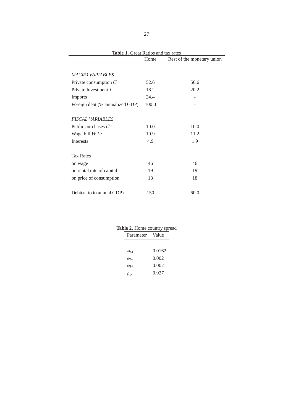|                                 | Home  | Rest of the monetary union |
|---------------------------------|-------|----------------------------|
| <b>MACRO VARIABLES</b>          |       |                            |
| Private consumption $C$         | 52.6  | 56.6                       |
| Private Investment I            | 18.2  | 20.2                       |
| Imports                         | 24.4  |                            |
| Foreign debt (% annualized GDP) | 100.0 |                            |
| <b>FISCAL VARIABLES</b>         |       |                            |
| Public purchases $Cg$           | 10.0  | 10.0                       |
| Wage bill $W L^g$               | 10.9  | 11.2                       |
| <b>Interests</b>                | 4.9   | 1.9                        |
| <b>Tax Rates</b>                |       |                            |
| on wage                         | 46    | 46                         |
| on rental rate of capital       | 19    | 19                         |
| on price of consumption         | 18    | 18                         |
| Debt(ratio to annual GDP)       | 150   | 60.0                       |

|             | Table 2. Home country spread |
|-------------|------------------------------|
| Parameter   | - Value                      |
|             |                              |
| $\phi_{b1}$ | 0.0162                       |
| $\phi_{b2}$ | 0.002                        |
| $\phi_{b3}$ | 0.002                        |
|             | 0.927                        |
|             |                              |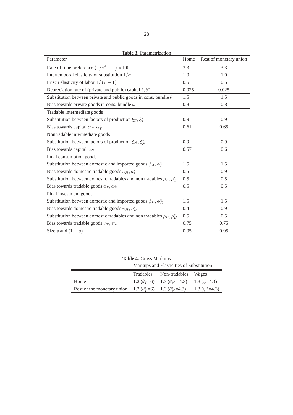| Table 3. Parametrization                                                        |       |                        |  |  |
|---------------------------------------------------------------------------------|-------|------------------------|--|--|
| Parameter                                                                       | Home  | Rest of monetary union |  |  |
| Rate of time preference $(1/\beta^4 - 1) * 100$                                 | 3.3   | 3.3                    |  |  |
| Intertemporal elasticity of substitution $1/\sigma$                             | 1.0   | 1.0                    |  |  |
| Frisch elasticity of labor $1/(\tau - 1)$                                       | 0.5   | 0.5                    |  |  |
| Depreciation rate of (private and public) capital $\delta$ , $\delta^*$         | 0.025 | 0.025                  |  |  |
| Substitution between private and public goods in cons. bundle $\theta$          | 1.5   | 1.5                    |  |  |
| Bias towards private goods in cons. bundle $\omega$                             | 0.8   | 0.8                    |  |  |
| Tradable intermediate goods                                                     |       |                        |  |  |
| Substitution between factors of production $\xi_T$ , $\xi_T^*$                  | 0.9   | 0.9                    |  |  |
| Bias towards capital $\alpha_T, \alpha_T^*$                                     | 0.61  | 0.65                   |  |  |
| Nontradable intermediate goods                                                  |       |                        |  |  |
| Substitution between factors of production $\xi_N, \xi_N^*$                     | 0.9   | 0.9                    |  |  |
| Bias towards capital $\alpha_N$                                                 | 0.57  | 0.6                    |  |  |
| Final consumption goods                                                         |       |                        |  |  |
| Substitution between domestic and imported goods $\phi_A, \phi_A^*$             | 1.5   | 1.5                    |  |  |
| Bias towards domestic tradable goods $a_H, a_F^*$                               | 0.5   | 0.9                    |  |  |
| Substitution between domestic tradables and non tradables $\rho_A$ , $\rho_A^*$ | 0.5   | 0.5                    |  |  |
| Bias towards tradable goods $a_T, a_T^*$                                        | 0.5   | 0.5                    |  |  |
| Final investment goods                                                          |       |                        |  |  |
| Substitution between domestic and imported goods $\phi_E$ , $\phi_E^*$          |       | 1.5                    |  |  |
| Bias towards domestic tradable goods $v_H, v_F^*$                               |       | 0.9                    |  |  |
| Substitution between domestic tradables and non tradables $\rho_E$ , $\rho_E^*$ |       | 0.5                    |  |  |
| Bias towards tradable goods $v_T, v_T^*$                                        |       | 0.75                   |  |  |
| Size s and $(1 - s)$                                                            | 0.05  | 0.95                   |  |  |

**Table 4.** Gross Markups

| <b>Table 4. Gross Markups</b><br>Markups and Elasticities of Substitution                           |  |                                                          |  |  |
|-----------------------------------------------------------------------------------------------------|--|----------------------------------------------------------|--|--|
|                                                                                                     |  | Tradables Non-tradables Wages                            |  |  |
| Home                                                                                                |  | 1.2 $(\theta_T=6)$ 1.3 $(\theta_N=4.3)$ 1.3 $(\psi=4.3)$ |  |  |
| Rest of the monetary union 1.2 ( $\theta^*_{T}$ =6) 1.3 ( $\theta^*_{N}$ =4.3) 1.3 ( $\psi^*$ =4.3) |  |                                                          |  |  |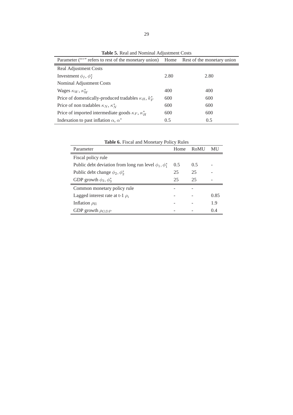| <b>Table 5.</b> Real and Nominal Adjustment Costs                                     |      |      |  |  |
|---------------------------------------------------------------------------------------|------|------|--|--|
| Parameter ("*"" refers to rest of the monetary union) Home Rest of the monetary union |      |      |  |  |
| Real Adjustment Costs                                                                 |      |      |  |  |
| Investment $\phi_I$ , $\phi_I^*$                                                      | 2.80 | 2.80 |  |  |
| Nominal Adjustment Costs                                                              |      |      |  |  |
| Wages $\kappa_W$ , $\kappa_W^*$                                                       | 400  | 400  |  |  |
| Price of domestically-produced tradables $\kappa_H$ , $k_F^*$                         | 600  | 600  |  |  |
| Price of non tradables $\kappa_N$ , $\kappa_N^*$                                      | 600  | 600  |  |  |
| Price of imported intermediate goods $\kappa_F$ , $\kappa_H^*$                        | 600  | 600  |  |  |
| Indexation to past inflation $\alpha$ , $\alpha^*$                                    | 0.5  | 0.5  |  |  |

Parameter Home RoMU MU Fiscal policy rule Public debt deviation from long run level  $\phi_1$ ,  $\phi_1^*$ 0.5 0.5 - Public debt change  $\phi_2, \phi_2^*$ 25 25 - GDP growth  $\phi_3, \phi_3^*$  $\frac{1}{3}$  25 25 -Common monetary policy rule - - Lagged interest rate at t-1  $\rho_i$  - - 0.85 Inflation  $\rho_{\Pi}$  - - 1.9 GDP growth  $\rho_{GDP}$  - - 0.4

|  |  | Table 6. Fiscal and Monetary Policy Rules |  |
|--|--|-------------------------------------------|--|
|  |  |                                           |  |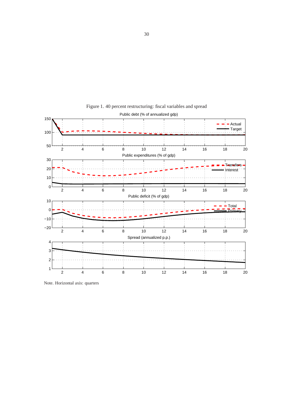

Figure 1. 40 percent restructuring: fiscal variables and spread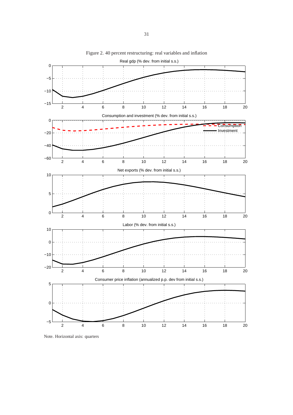

Figure 2. 40 percent restructuring: real variables and inflation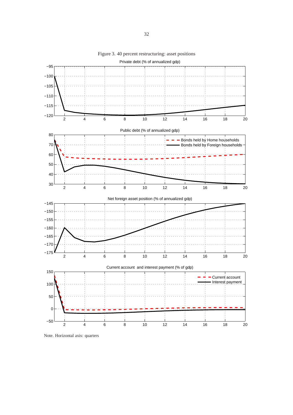

Figure 3. 40 percent restructuring: asset positions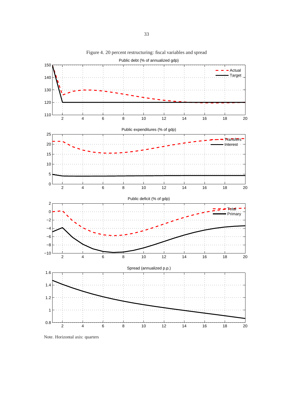

Figure 4. 20 percent restructuring: fiscal variables and spread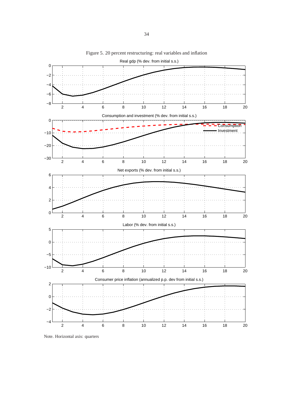

Figure 5. 20 percent restructuring: real variables and inflation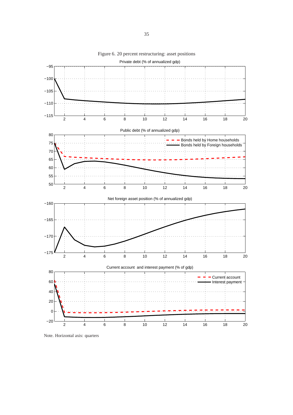

Figure 6. 20 percent restructuring: asset positions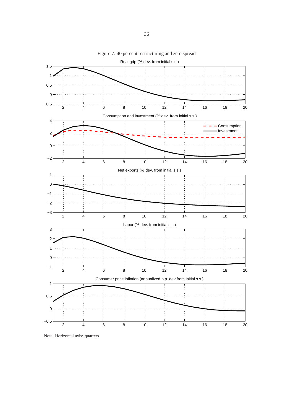

Figure 7. 40 percent restructuring and zero spread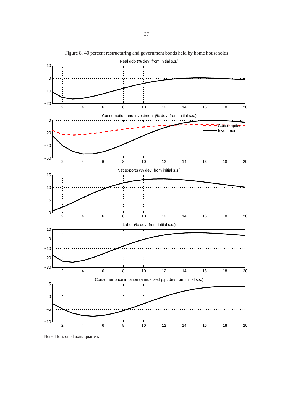

Figure 8. 40 percent restructuring and government bonds held by home households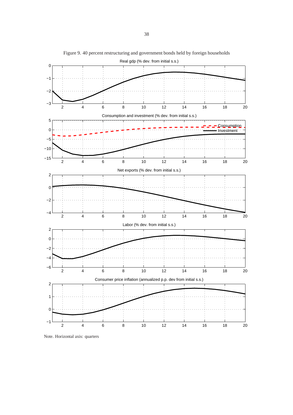

Figure 9. 40 percent restructuring and government bonds held by foreign households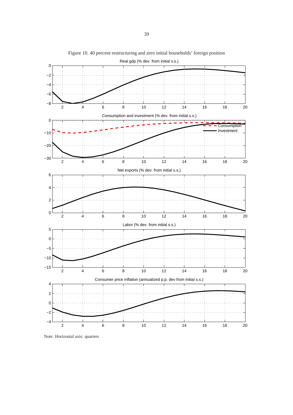

Figure 10. 40 percent restructuring and zero initial households' foreign position